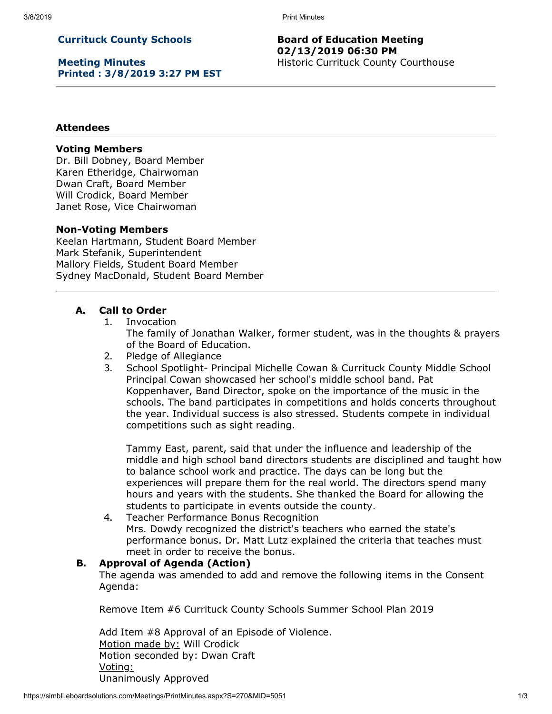# **Currituck County Schools**

**Meeting Minutes Printed : 3/8/2019 3:27 PM EST**

#### **Board of Education Meeting 02/13/2019 06:30 PM** Historic Currituck County Courthouse

#### **Attendees**

#### **Voting Members**

Dr. Bill Dobney, Board Member Karen Etheridge, Chairwoman Dwan Craft, Board Member Will Crodick, Board Member Janet Rose, Vice Chairwoman

#### **Non-Voting Members**

Keelan Hartmann, Student Board Member Mark Stefanik, Superintendent Mallory Fields, Student Board Member Sydney MacDonald, Student Board Member

#### **A. Call to Order**

1. Invocation

The family of Jonathan Walker, former student, was in the thoughts & prayers of the Board of Education.

- 2. Pledge of Allegiance
- 3. School Spotlight- Principal Michelle Cowan & Currituck County Middle School Principal Cowan showcased her school's middle school band. Pat Koppenhaver, Band Director, spoke on the importance of the music in the schools. The band participates in competitions and holds concerts throughout the year. Individual success is also stressed. Students compete in individual competitions such as sight reading.

Tammy East, parent, said that under the influence and leadership of the middle and high school band directors students are disciplined and taught how to balance school work and practice. The days can be long but the experiences will prepare them for the real world. The directors spend many hours and years with the students. She thanked the Board for allowing the students to participate in events outside the county.

4. Teacher Performance Bonus Recognition Mrs. Dowdy recognized the district's teachers who earned the state's performance bonus. Dr. Matt Lutz explained the criteria that teaches must meet in order to receive the bonus.

## **B. Approval of Agenda (Action)**

The agenda was amended to add and remove the following items in the Consent Agenda:

Remove Item #6 Currituck County Schools Summer School Plan 2019

Add Item #8 Approval of an Episode of Violence. Motion made by: Will Crodick Motion seconded by: Dwan Craft Voting: Unanimously Approved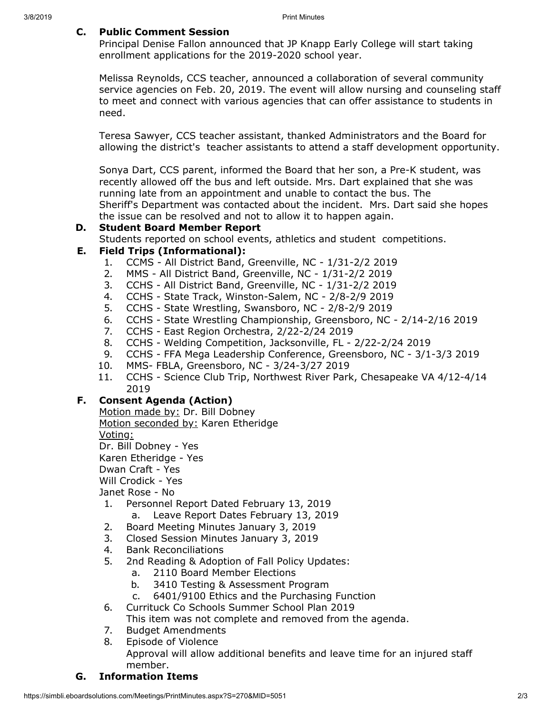### **C. Public Comment Session**

Principal Denise Fallon announced that JP Knapp Early College will start taking enrollment applications for the 2019-2020 school year.

Melissa Reynolds, CCS teacher, announced a collaboration of several community service agencies on Feb. 20, 2019. The event will allow nursing and counseling staff to meet and connect with various agencies that can offer assistance to students in need.

Teresa Sawyer, CCS teacher assistant, thanked Administrators and the Board for allowing the district's teacher assistants to attend a staff development opportunity.

Sonya Dart, CCS parent, informed the Board that her son, a Pre-K student, was recently allowed off the bus and left outside. Mrs. Dart explained that she was running late from an appointment and unable to contact the bus. The Sheriff's Department was contacted about the incident. Mrs. Dart said she hopes the issue can be resolved and not to allow it to happen again.

# **D. Student Board Member Report**

Students reported on school events, athletics and student competitions.

# **E. Field Trips (Informational):**

- 1. CCMS All District Band, Greenville, NC 1/31-2/2 2019
- 2. MMS All District Band, Greenville, NC 1/31-2/2 2019
- 3. CCHS All District Band, Greenville, NC 1/31-2/2 2019
- 4. CCHS State Track, Winston-Salem, NC 2/8-2/9 2019
- 5. CCHS State Wrestling, Swansboro, NC 2/8-2/9 2019
- 6. CCHS State Wrestling Championship, Greensboro, NC 2/14-2/16 2019
- 7. CCHS East Region Orchestra, 2/22-2/24 2019
- 8. CCHS Welding Competition, Jacksonville, FL 2/22-2/24 2019
- 9. CCHS FFA Mega Leadership Conference, Greensboro, NC 3/1-3/3 2019
- 10. MMS- FBLA, Greensboro, NC 3/24-3/27 2019
- 11. CCHS Science Club Trip, Northwest River Park, Chesapeake VA 4/12-4/14 2019

## **F. Consent Agenda (Action)**

Motion made by: Dr. Bill Dobney Motion seconded by: Karen Etheridge

Voting:

Dr. Bill Dobney - Yes

Karen Etheridge - Yes

Dwan Craft - Yes

Will Crodick - Yes

Janet Rose - No

- 1. Personnel Report Dated February 13, 2019
	- a. Leave Report Dates February 13, 2019
- 2. Board Meeting Minutes January 3, 2019
- 3. Closed Session Minutes January 3, 2019
- 4. Bank Reconciliations
- 5. 2nd Reading & Adoption of Fall Policy Updates:
	- a. 2110 Board Member Elections
	- b. 3410 Testing & Assessment Program
	- c. 6401/9100 Ethics and the Purchasing Function
- 6. Currituck Co Schools Summer School Plan 2019

This item was not complete and removed from the agenda.

7. Budget Amendments

8. Episode of Violence Approval will allow additional benefits and leave time for an injured staff member.

## **G. Information Items**